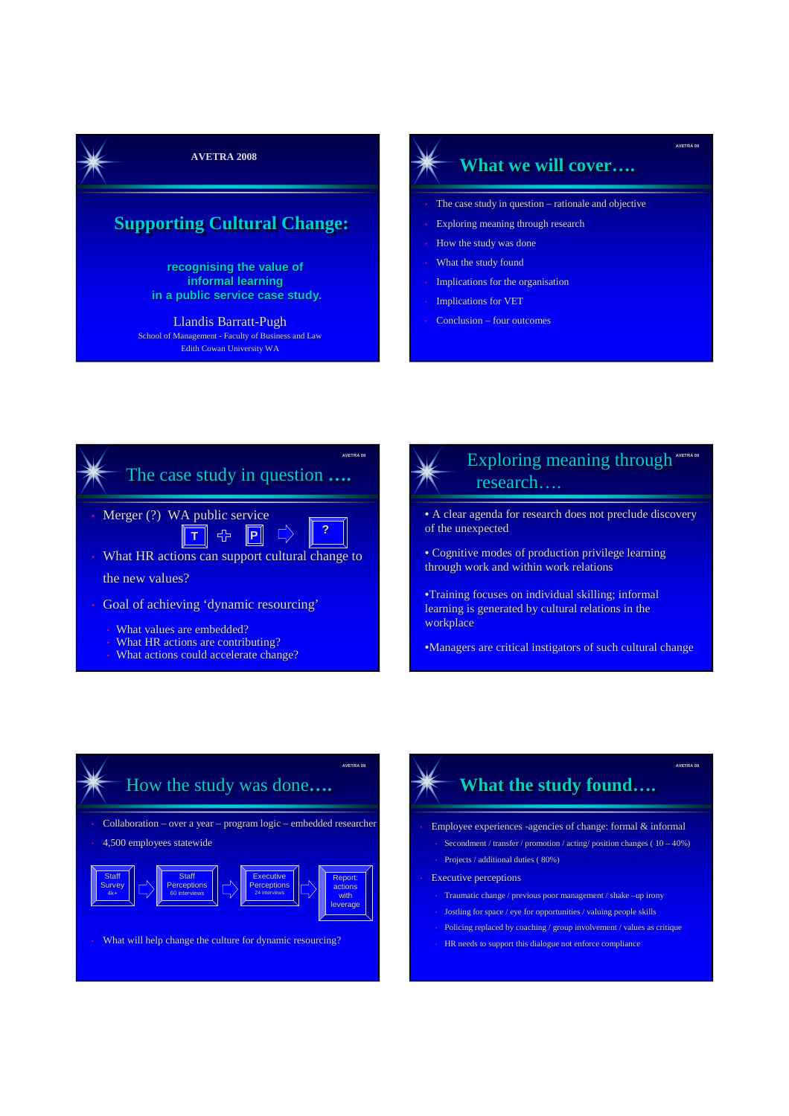**AVETRA 2008** 

#### **Supporting Cultural Change:**

**recognising the value of informal learning in a public service case study.**

Llandis Barratt-Pugh School of Management - Faculty of Business and Law Edith Cowan University WA

#### **What we will cover….**

**AVETRA 09**

**AVETRA 09**

- The case study in question rationale and objective
- Exploring meaning through research
- How the study was done
- What the study found
- Implications for the organisation
- Implications for VET
- Conclusion four outcomes





Exploring meaning through research…. **AVETRA 09**

• A clear agenda for research does not preclude discovery of the unexpected

- Cognitive modes of production privilege learning through work and within work relations
- •Training focuses on individual skilling; informal learning is generated by cultural relations in the workplace

•Managers are critical instigators of such cultural change

### How the study was done**……..** • Collaboration – over a year – program logic – embedded researcher **AVETRA 09**

• 4,500 employees statewide



• What will help change the culture for dynamic resourcing?

# **What the study found….**

- Employee experiences -agencies of change: formal & informal
	- Secondment / transfer / promotion / acting/ position changes  $(10 40%)$
- Projects / additional duties ( 80%)
- **Executive perceptions** 
	- Traumatic change / previous poor management / shake –up irony
	- Jostling for space / eye for opportunities / valuing people skills
- Policing replaced by coaching / group involvement / values as critique
- HR needs to support this dialogue not enforce compliance